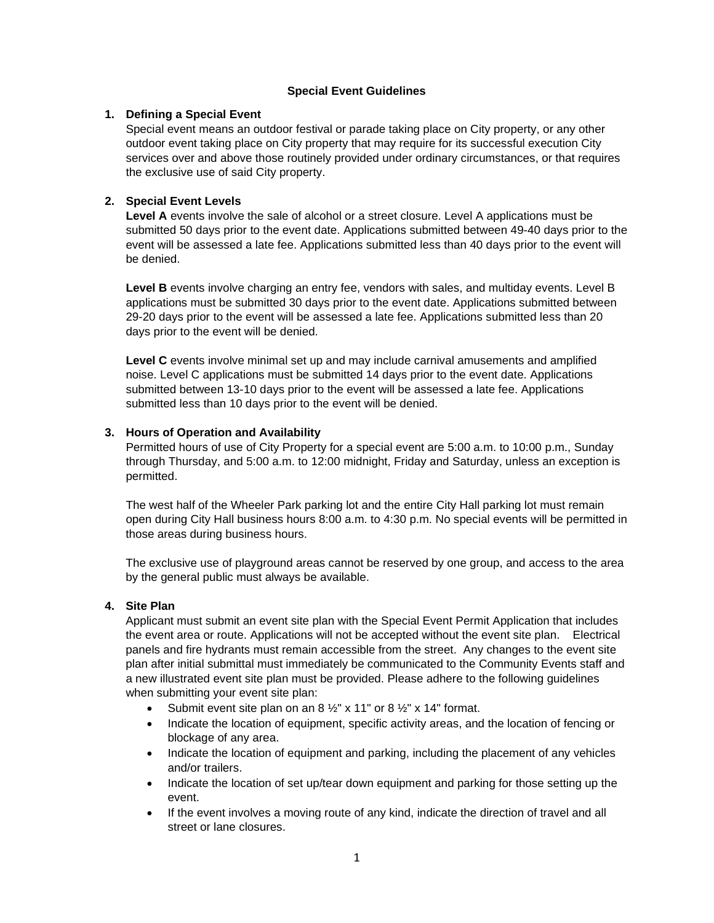# **Special Event Guidelines**

## **1. Defining a Special Event**

Special event means an outdoor festival or parade taking place on City property, or any other outdoor event taking place on City property that may require for its successful execution City services over and above those routinely provided under ordinary circumstances, or that requires the exclusive use of said City property.

# **2. Special Event Levels**

**Level A** events involve the sale of alcohol or a street closure. Level A applications must be submitted 50 days prior to the event date. Applications submitted between 49-40 days prior to the event will be assessed a late fee. Applications submitted less than 40 days prior to the event will be denied.

**Level B** events involve charging an entry fee, vendors with sales, and multiday events. Level B applications must be submitted 30 days prior to the event date. Applications submitted between 29-20 days prior to the event will be assessed a late fee. Applications submitted less than 20 days prior to the event will be denied.

**Level C** events involve minimal set up and may include carnival amusements and amplified noise. Level C applications must be submitted 14 days prior to the event date. Applications submitted between 13-10 days prior to the event will be assessed a late fee. Applications submitted less than 10 days prior to the event will be denied.

# **3. Hours of Operation and Availability**

Permitted hours of use of City Property for a special event are 5:00 a.m. to 10:00 p.m., Sunday through Thursday, and 5:00 a.m. to 12:00 midnight, Friday and Saturday, unless an exception is permitted.

The west half of the Wheeler Park parking lot and the entire City Hall parking lot must remain open during City Hall business hours 8:00 a.m. to 4:30 p.m. No special events will be permitted in those areas during business hours.

The exclusive use of playground areas cannot be reserved by one group, and access to the area by the general public must always be available.

### **4. Site Plan**

Applicant must submit an event site plan with the Special Event Permit Application that includes the event area or route. Applications will not be accepted without the event site plan. Electrical panels and fire hydrants must remain accessible from the street. Any changes to the event site plan after initial submittal must immediately be communicated to the Community Events staff and a new illustrated event site plan must be provided. Please adhere to the following guidelines when submitting your event site plan:

- Submit event site plan on an 8  $\frac{1}{2}$ " x 11" or 8  $\frac{1}{2}$ " x 14" format.
- Indicate the location of equipment, specific activity areas, and the location of fencing or blockage of any area.
- Indicate the location of equipment and parking, including the placement of any vehicles and/or trailers.
- Indicate the location of set up/tear down equipment and parking for those setting up the event.
- If the event involves a moving route of any kind, indicate the direction of travel and all street or lane closures.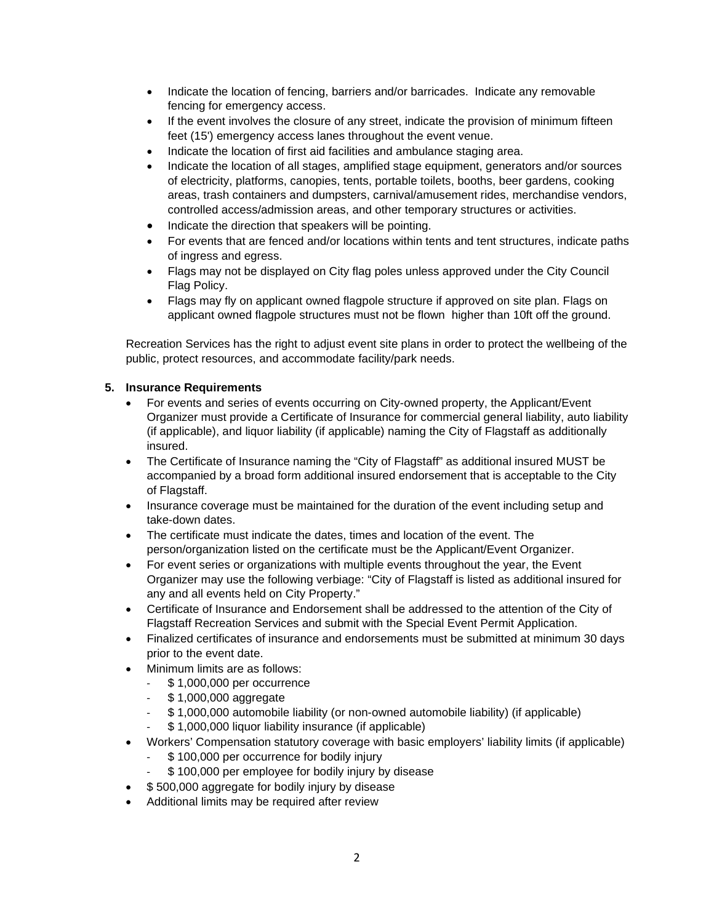- Indicate the location of fencing, barriers and/or barricades. Indicate any removable fencing for emergency access.
- If the event involves the closure of any street, indicate the provision of minimum fifteen feet (15') emergency access lanes throughout the event venue.
- Indicate the location of first aid facilities and ambulance staging area.
- Indicate the location of all stages, amplified stage equipment, generators and/or sources of electricity, platforms, canopies, tents, portable toilets, booths, beer gardens, cooking areas, trash containers and dumpsters, carnival/amusement rides, merchandise vendors, controlled access/admission areas, and other temporary structures or activities.
- Indicate the direction that speakers will be pointing.
- For events that are fenced and/or locations within tents and tent structures, indicate paths of ingress and egress.
- Flags may not be displayed on City flag poles unless approved under the City Council Flag Policy.
- Flags may fly on applicant owned flagpole structure if approved on site plan. Flags on applicant owned flagpole structures must not be flown higher than 10ft off the ground.

Recreation Services has the right to adjust event site plans in order to protect the wellbeing of the public, protect resources, and accommodate facility/park needs.

# **5. Insurance Requirements**

- For events and series of events occurring on City-owned property, the Applicant/Event Organizer must provide a Certificate of Insurance for commercial general liability, auto liability (if applicable), and liquor liability (if applicable) naming the City of Flagstaff as additionally insured.
- The Certificate of Insurance naming the "City of Flagstaff" as additional insured MUST be accompanied by a broad form additional insured endorsement that is acceptable to the City of Flagstaff.
- Insurance coverage must be maintained for the duration of the event including setup and take-down dates.
- The certificate must indicate the dates, times and location of the event. The person/organization listed on the certificate must be the Applicant/Event Organizer.
- For event series or organizations with multiple events throughout the year, the Event Organizer may use the following verbiage: "City of Flagstaff is listed as additional insured for any and all events held on City Property."
- Certificate of Insurance and Endorsement shall be addressed to the attention of the City of Flagstaff Recreation Services and submit with the Special Event Permit Application.
- Finalized certificates of insurance and endorsements must be submitted at minimum 30 days prior to the event date.
- Minimum limits are as follows:
	- \$1,000,000 per occurrence
	- \$ 1,000,000 aggregate
	- \$ 1,000,000 automobile liability (or non-owned automobile liability) (if applicable)
	- \$1,000,000 liquor liability insurance (if applicable)
- Workers' Compensation statutory coverage with basic employers' liability limits (if applicable)
	- \$100,000 per occurrence for bodily injury
	- \$100,000 per employee for bodily injury by disease
- \$500,000 aggregate for bodily injury by disease
- Additional limits may be required after review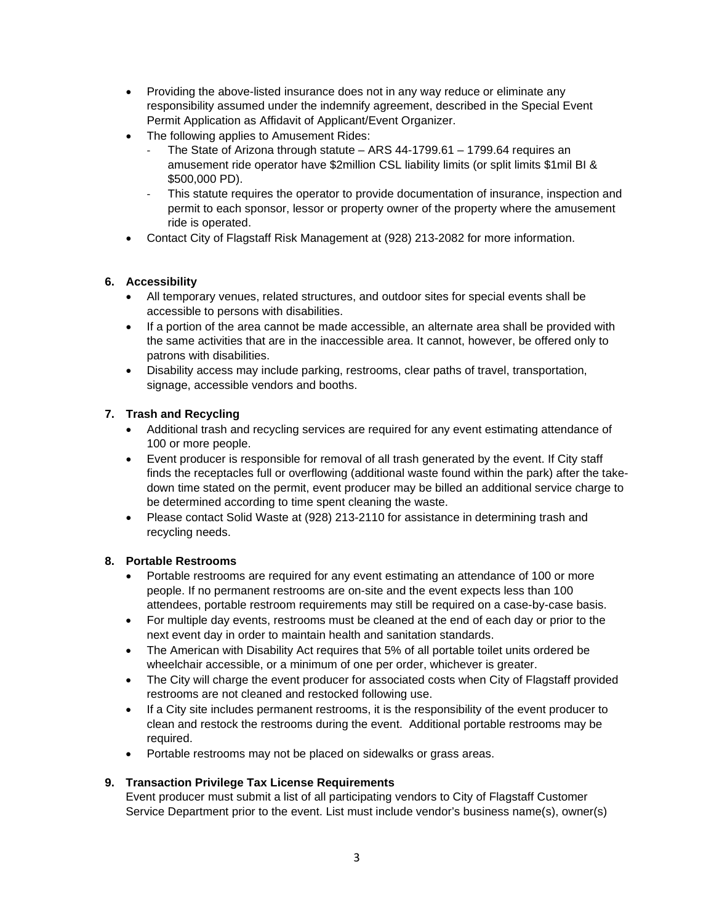- Providing the above-listed insurance does not in any way reduce or eliminate any responsibility assumed under the indemnify agreement, described in the Special Event Permit Application as Affidavit of Applicant/Event Organizer.
- The following applies to Amusement Rides:
	- The State of Arizona through statute ARS 44-1799.61 1799.64 requires an amusement ride operator have \$2million CSL liability limits (or split limits \$1mil BI & \$500,000 PD).
	- This statute requires the operator to provide documentation of insurance, inspection and permit to each sponsor, lessor or property owner of the property where the amusement ride is operated.
- Contact City of Flagstaff Risk Management at (928) 213-2082 for more information.

# **6. Accessibility**

- All temporary venues, related structures, and outdoor sites for special events shall be accessible to persons with disabilities.
- If a portion of the area cannot be made accessible, an alternate area shall be provided with the same activities that are in the inaccessible area. It cannot, however, be offered only to patrons with disabilities.
- Disability access may include parking, restrooms, clear paths of travel, transportation, signage, accessible vendors and booths.

# **7. Trash and Recycling**

- Additional trash and recycling services are required for any event estimating attendance of 100 or more people.
- Event producer is responsible for removal of all trash generated by the event. If City staff finds the receptacles full or overflowing (additional waste found within the park) after the takedown time stated on the permit, event producer may be billed an additional service charge to be determined according to time spent cleaning the waste.
- Please contact Solid Waste at (928) 213-2110 for assistance in determining trash and recycling needs.

# **8. Portable Restrooms**

- Portable restrooms are required for any event estimating an attendance of 100 or more people. If no permanent restrooms are on-site and the event expects less than 100 attendees, portable restroom requirements may still be required on a case-by-case basis.
- For multiple day events, restrooms must be cleaned at the end of each day or prior to the next event day in order to maintain health and sanitation standards.
- The American with Disability Act requires that 5% of all portable toilet units ordered be wheelchair accessible, or a minimum of one per order, whichever is greater.
- The City will charge the event producer for associated costs when City of Flagstaff provided restrooms are not cleaned and restocked following use.
- If a City site includes permanent restrooms, it is the responsibility of the event producer to clean and restock the restrooms during the event. Additional portable restrooms may be required.
- Portable restrooms may not be placed on sidewalks or grass areas.

# **9. Transaction Privilege Tax License Requirements**

Event producer must submit a list of all participating vendors to City of Flagstaff Customer Service Department prior to the event. List must include vendor's business name(s), owner(s)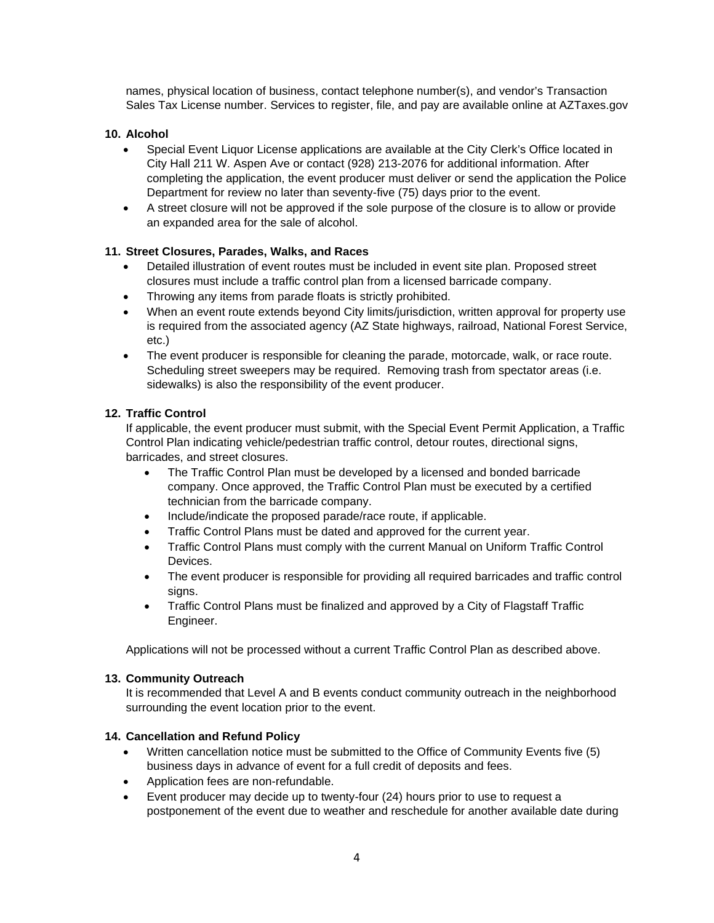names, physical location of business, contact telephone number(s), and vendor's Transaction Sales Tax License number. Services to register, file, and pay are available online at AZTaxes.gov

# **10. Alcohol**

- Special Event Liquor License applications are available at the City Clerk's Office located in City Hall 211 W. Aspen Ave or contact (928) 213-2076 for additional information. After completing the application, the event producer must deliver or send the application the Police Department for review no later than seventy-five (75) days prior to the event.
- A street closure will not be approved if the sole purpose of the closure is to allow or provide an expanded area for the sale of alcohol.

## **11. Street Closures, Parades, Walks, and Races**

- Detailed illustration of event routes must be included in event site plan. Proposed street closures must include a traffic control plan from a licensed barricade company.
- Throwing any items from parade floats is strictly prohibited.
- When an event route extends beyond City limits/jurisdiction, written approval for property use is required from the associated agency (AZ State highways, railroad, National Forest Service, etc.)
- The event producer is responsible for cleaning the parade, motorcade, walk, or race route. Scheduling street sweepers may be required. Removing trash from spectator areas (i.e. sidewalks) is also the responsibility of the event producer.

## **12. Traffic Control**

If applicable, the event producer must submit, with the Special Event Permit Application, a Traffic Control Plan indicating vehicle/pedestrian traffic control, detour routes, directional signs, barricades, and street closures.

- The Traffic Control Plan must be developed by a licensed and bonded barricade company. Once approved, the Traffic Control Plan must be executed by a certified technician from the barricade company.
- Include/indicate the proposed parade/race route, if applicable.
- Traffic Control Plans must be dated and approved for the current year.
- Traffic Control Plans must comply with the current Manual on Uniform Traffic Control Devices.
- The event producer is responsible for providing all required barricades and traffic control signs.
- Traffic Control Plans must be finalized and approved by a City of Flagstaff Traffic Engineer.

Applications will not be processed without a current Traffic Control Plan as described above.

### **13. Community Outreach**

It is recommended that Level A and B events conduct community outreach in the neighborhood surrounding the event location prior to the event.

### **14. Cancellation and Refund Policy**

- Written cancellation notice must be submitted to the Office of Community Events five (5) business days in advance of event for a full credit of deposits and fees.
- Application fees are non-refundable.
- Event producer may decide up to twenty-four (24) hours prior to use to request a postponement of the event due to weather and reschedule for another available date during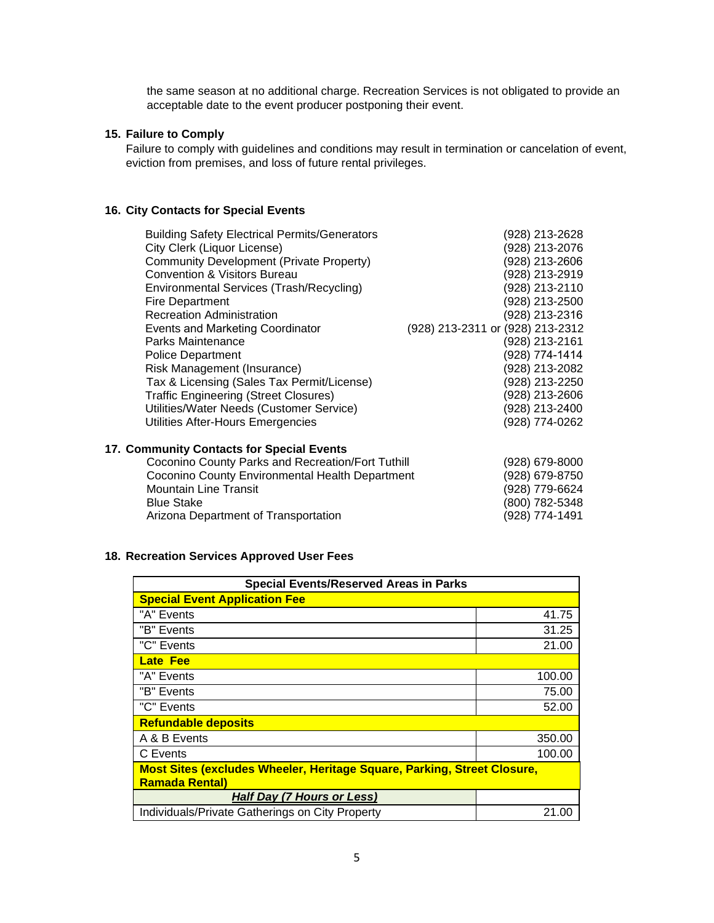the same season at no additional charge. Recreation Services is not obligated to provide an acceptable date to the event producer postponing their event.

## **15. Failure to Comply**

Failure to comply with guidelines and conditions may result in termination or cancelation of event, eviction from premises, and loss of future rental privileges.

# **16. City Contacts for Special Events**

| <b>Building Safety Electrical Permits/Generators</b> | (928) 213-2628                   |
|------------------------------------------------------|----------------------------------|
| City Clerk (Liquor License)                          | (928) 213-2076                   |
| Community Development (Private Property)             | (928) 213-2606                   |
| <b>Convention &amp; Visitors Bureau</b>              | (928) 213-2919                   |
| Environmental Services (Trash/Recycling)             | (928) 213-2110                   |
| Fire Department                                      | (928) 213-2500                   |
| <b>Recreation Administration</b>                     | (928) 213-2316                   |
| Events and Marketing Coordinator                     | (928) 213-2311 or (928) 213-2312 |
| Parks Maintenance                                    | (928) 213-2161                   |
|                                                      | (928) 774-1414                   |
| <b>Police Department</b>                             |                                  |
| Risk Management (Insurance)                          | 928) 213-2082                    |
| Tax & Licensing (Sales Tax Permit/License)           | (928) 213-2250                   |
| <b>Traffic Engineering (Street Closures)</b>         | (928) 213-2606                   |
| Utilities/Water Needs (Customer Service)             | (928) 213-2400                   |
| Utilities After-Hours Emergencies                    | (928) 774-0262                   |
| 17. Community Contacts for Special Events            |                                  |
| Coconino County Parks and Recreation/Fort Tuthill    | (928) 679-8000                   |
| Coconino County Environmental Health Department      | (928) 679-8750                   |
| <b>Mountain Line Transit</b>                         | (928) 779-6624                   |
|                                                      |                                  |
| <b>Blue Stake</b>                                    | 800) 782-5348                    |
| Arizona Department of Transportation                 | 928) 774-1491                    |

### **18. Recreation Services Approved User Fees**

| <b>Special Events/Reserved Areas in Parks</b>                                  |        |  |
|--------------------------------------------------------------------------------|--------|--|
| <b>Special Event Application Fee</b>                                           |        |  |
| "A" Events                                                                     | 41.75  |  |
| "B" Events                                                                     | 31.25  |  |
| "C" Events                                                                     | 21.00  |  |
| <b>Late Fee</b>                                                                |        |  |
| "A" Events                                                                     | 100.00 |  |
| "B" Events                                                                     | 75.00  |  |
| "C" Events                                                                     | 52.00  |  |
| <b>Refundable deposits</b>                                                     |        |  |
| A & B Events                                                                   | 350.00 |  |
| C Events                                                                       | 100.00 |  |
| <b>Most Sites (excludes Wheeler, Heritage Square, Parking, Street Closure,</b> |        |  |
| <b>Ramada Rental)</b>                                                          |        |  |
| Half Day (7 Hours or Less)                                                     |        |  |
| Individuals/Private Gatherings on City Property                                | 21.00  |  |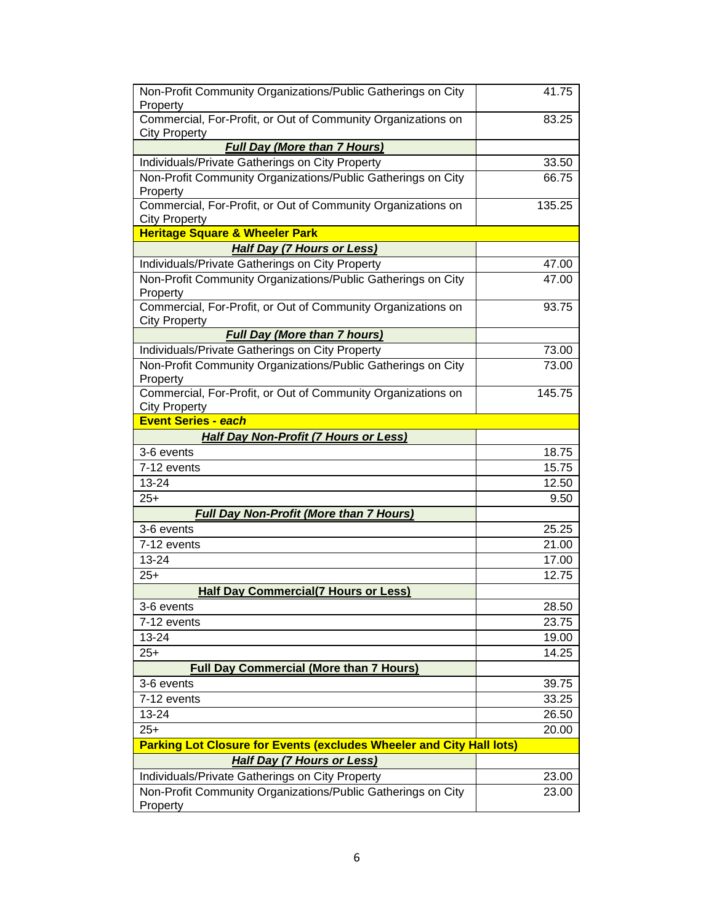| Non-Profit Community Organizations/Public Gatherings on City<br>Property             | 41.75  |
|--------------------------------------------------------------------------------------|--------|
| Commercial, For-Profit, or Out of Community Organizations on<br><b>City Property</b> | 83.25  |
| <b>Full Day (More than 7 Hours)</b>                                                  |        |
| Individuals/Private Gatherings on City Property                                      | 33.50  |
| Non-Profit Community Organizations/Public Gatherings on City                         | 66.75  |
| Property                                                                             |        |
| Commercial, For-Profit, or Out of Community Organizations on<br><b>City Property</b> | 135.25 |
| <b>Heritage Square &amp; Wheeler Park</b>                                            |        |
| <b>Half Day (7 Hours or Less)</b>                                                    |        |
| Individuals/Private Gatherings on City Property                                      | 47.00  |
| Non-Profit Community Organizations/Public Gatherings on City<br>Property             | 47.00  |
| Commercial, For-Profit, or Out of Community Organizations on<br><b>City Property</b> | 93.75  |
| <b>Full Day (More than 7 hours)</b>                                                  |        |
| Individuals/Private Gatherings on City Property                                      | 73.00  |
| Non-Profit Community Organizations/Public Gatherings on City                         | 73.00  |
| Property                                                                             |        |
| Commercial, For-Profit, or Out of Community Organizations on<br><b>City Property</b> | 145.75 |
| <b>Event Series - each</b>                                                           |        |
| <b>Half Day Non-Profit (7 Hours or Less)</b>                                         |        |
| 3-6 events                                                                           | 18.75  |
| 7-12 events                                                                          | 15.75  |
| 13-24                                                                                | 12.50  |
| $25+$                                                                                | 9.50   |
| <b>Full Day Non-Profit (More than 7 Hours)</b>                                       |        |
| 3-6 events                                                                           | 25.25  |
| 7-12 events                                                                          | 21.00  |
| 13-24                                                                                | 17.00  |
| $25+$                                                                                | 12.75  |
| <b>Half Day Commercial(7 Hours or Less)</b>                                          |        |
| $3-6$ events                                                                         | 28.50  |
| 7-12 events                                                                          | 23.75  |
| 13-24                                                                                | 19.00  |
| $25+$                                                                                | 14.25  |
| <b>Full Day Commercial (More than 7 Hours)</b>                                       |        |
| 3-6 events                                                                           | 39.75  |
| 7-12 events                                                                          | 33.25  |
| 13-24                                                                                | 26.50  |
| $25+$                                                                                | 20.00  |
| <b>Parking Lot Closure for Events (excludes Wheeler and City Hall lots)</b>          |        |
| <b>Half Day (7 Hours or Less)</b>                                                    |        |
| Individuals/Private Gatherings on City Property                                      | 23.00  |
| Non-Profit Community Organizations/Public Gatherings on City                         | 23.00  |
| Property                                                                             |        |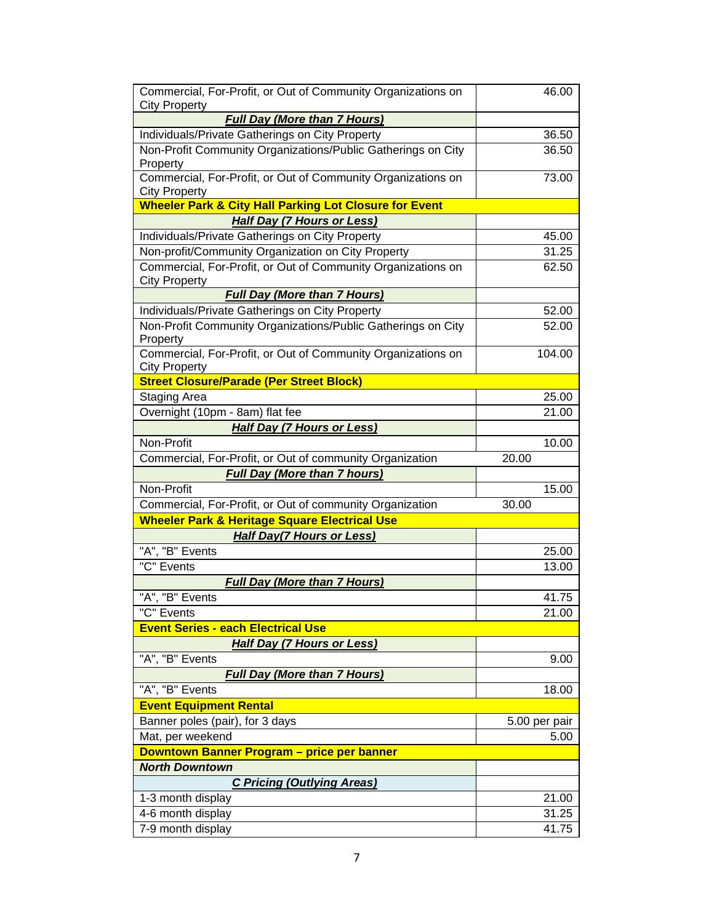| Commercial, For-Profit, or Out of Community Organizations on<br><b>City Property</b> | 46.00         |
|--------------------------------------------------------------------------------------|---------------|
| <b>Full Day (More than 7 Hours)</b>                                                  |               |
| Individuals/Private Gatherings on City Property                                      | 36.50         |
| Non-Profit Community Organizations/Public Gatherings on City<br>Property             | 36.50         |
| Commercial, For-Profit, or Out of Community Organizations on<br><b>City Property</b> | 73.00         |
| <b>Wheeler Park &amp; City Hall Parking Lot Closure for Event</b>                    |               |
| <b>Half Day (7 Hours or Less)</b>                                                    |               |
| Individuals/Private Gatherings on City Property                                      | 45.00         |
| Non-profit/Community Organization on City Property                                   | 31.25         |
| Commercial, For-Profit, or Out of Community Organizations on<br><b>City Property</b> | 62.50         |
| <b>Full Day (More than 7 Hours)</b>                                                  |               |
| Individuals/Private Gatherings on City Property                                      | 52.00         |
| Non-Profit Community Organizations/Public Gatherings on City                         | 52.00         |
| Property                                                                             |               |
| Commercial, For-Profit, or Out of Community Organizations on<br><b>City Property</b> | 104.00        |
| <b>Street Closure/Parade (Per Street Block)</b>                                      |               |
| Staging Area                                                                         | 25.00         |
| Overnight (10pm - 8am) flat fee                                                      | 21.00         |
| <b>Half Day (7 Hours or Less)</b>                                                    |               |
| Non-Profit                                                                           | 10.00         |
| Commercial, For-Profit, or Out of community Organization                             | 20.00         |
| <b>Full Day (More than 7 hours)</b>                                                  |               |
| Non-Profit                                                                           | 15.00         |
| Commercial, For-Profit, or Out of community Organization                             | 30.00         |
| <b>Wheeler Park &amp; Heritage Square Electrical Use</b>                             |               |
| <b>Half Day(7 Hours or Less)</b>                                                     |               |
| "A", "B" Events                                                                      | 25.00         |
| "C" Events                                                                           | 13.00         |
| <b>Full Day (More than 7 Hours)</b>                                                  |               |
| "A", "B" Events                                                                      | 41.75         |
| "C" Events                                                                           | 21.00         |
| <b>Event Series - each Electrical Use</b>                                            |               |
| <b>Half Day (7 Hours or Less)</b>                                                    |               |
| "A", "B" Events                                                                      | 9.00          |
| <b>Full Day (More than 7 Hours)</b>                                                  |               |
| "A", "B" Events                                                                      | 18.00         |
| <b>Event Equipment Rental</b>                                                        |               |
| Banner poles (pair), for 3 days                                                      | 5.00 per pair |
| Mat, per weekend                                                                     | 5.00          |
| Downtown Banner Program - price per banner                                           |               |
| <b>North Downtown</b>                                                                |               |
| <b>C Pricing (Outlying Areas)</b>                                                    |               |
| 1-3 month display                                                                    | 21.00         |
| 4-6 month display                                                                    | 31.25         |
| 7-9 month display                                                                    | 41.75         |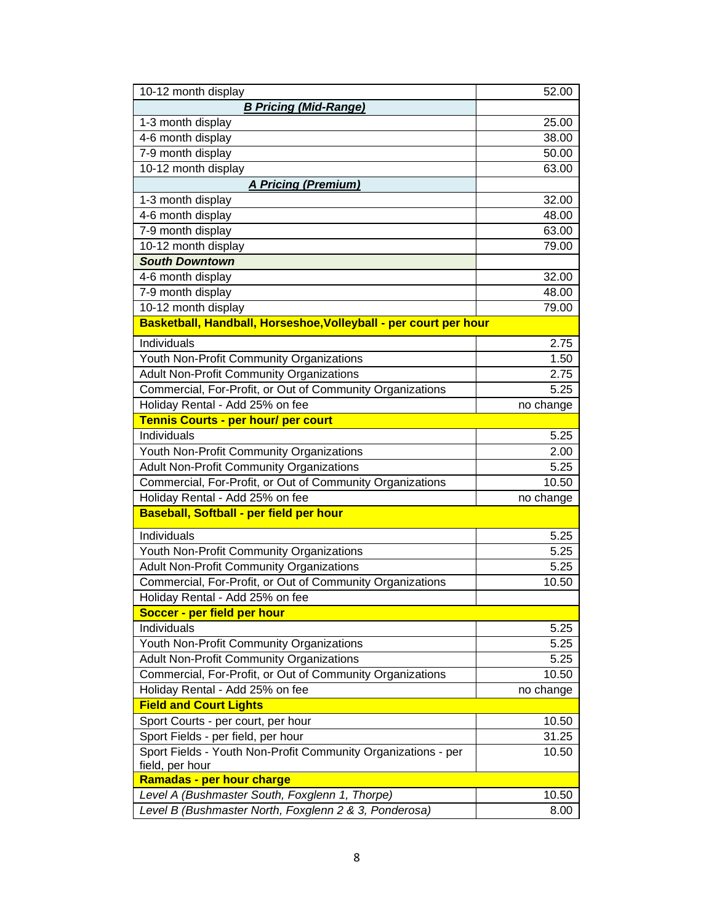| 10-12 month display                                              | 52.00     |
|------------------------------------------------------------------|-----------|
| <b>B Pricing (Mid-Range)</b>                                     |           |
| 1-3 month display                                                | 25.00     |
| 4-6 month display                                                | 38.00     |
| 7-9 month display                                                | 50.00     |
| 10-12 month display                                              | 63.00     |
| <b>A Pricing (Premium)</b>                                       |           |
| 1-3 month display                                                | 32.00     |
| 4-6 month display                                                | 48.00     |
| 7-9 month display                                                | 63.00     |
| 10-12 month display                                              | 79.00     |
| <b>South Downtown</b>                                            |           |
| 4-6 month display                                                | 32.00     |
| 7-9 month display                                                | 48.00     |
| 10-12 month display                                              | 79.00     |
| Basketball, Handball, Horseshoe, Volleyball - per court per hour |           |
| Individuals                                                      | 2.75      |
| Youth Non-Profit Community Organizations                         | 1.50      |
| <b>Adult Non-Profit Community Organizations</b>                  | 2.75      |
| Commercial, For-Profit, or Out of Community Organizations        | 5.25      |
| Holiday Rental - Add 25% on fee                                  | no change |
| Tennis Courts - per hour/ per court                              |           |
| Individuals                                                      | 5.25      |
| Youth Non-Profit Community Organizations                         | 2.00      |
| <b>Adult Non-Profit Community Organizations</b>                  | 5.25      |
| Commercial, For-Profit, or Out of Community Organizations        | 10.50     |
| Holiday Rental - Add 25% on fee                                  | no change |
| Baseball, Softball - per field per hour                          |           |
| Individuals                                                      | 5.25      |
| Youth Non-Profit Community Organizations                         | 5.25      |
| <b>Adult Non-Profit Community Organizations</b>                  | 5.25      |
| Commercial, For-Profit, or Out of Community Organizations        | 10.50     |
| Holiday Rental - Add 25% on fee                                  |           |
| Soccer - per field per hour                                      |           |
| Individuals                                                      | 5.25      |
| Youth Non-Profit Community Organizations                         | 5.25      |
| Adult Non-Profit Community Organizations                         | 5.25      |
| Commercial, For-Profit, or Out of Community Organizations        | 10.50     |
| Holiday Rental - Add 25% on fee                                  | no change |
| <b>Field and Court Lights</b>                                    |           |
| Sport Courts - per court, per hour                               | 10.50     |
| Sport Fields - per field, per hour                               | 31.25     |
| Sport Fields - Youth Non-Profit Community Organizations - per    | 10.50     |
| field, per hour                                                  |           |
| Ramadas - per hour charge                                        |           |
| Level A (Bushmaster South, Foxglenn 1, Thorpe)                   | 10.50     |
| Level B (Bushmaster North, Foxglenn 2 & 3, Ponderosa)            | 8.00      |